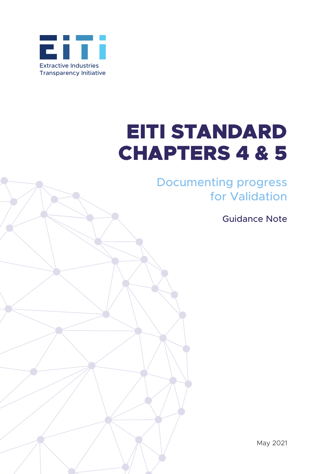

# EITI STANDARD CHAPTERS 4 & 5

Documenting progress for Validation

Guidance Note

May 2021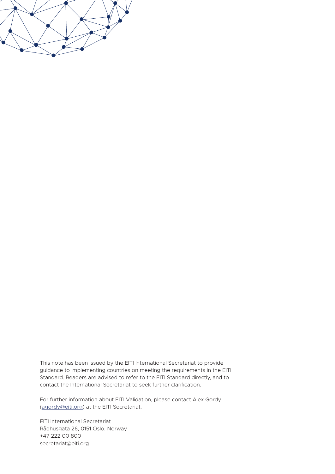

This note has been issued by the EITI International Secretariat to provide guidance to implementing countries on meeting the requirements in the EITI Standard. Readers are advised to refer to the EITI Standard directly, and to contact the International Secretariat to seek further clarification.

For further information about EITI Validation, please contact Alex Gordy ([agordy@eiti.org](mailto:agordy%40eiti.org?subject=)) at the EITI Secretariat.

EITI International Secretariat Rådhusgata 26, 0151 Oslo, Norway +47 222 00 800 secretariat@eiti.org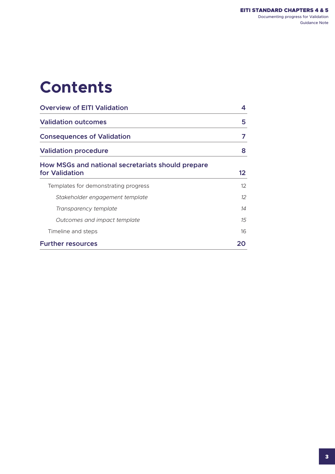### **Contents**

| <b>Overview of EITI Validation</b><br><b>Validation outcomes</b><br><b>Consequences of Validation</b><br><b>Validation procedure</b> |         |                                                                     |          |
|--------------------------------------------------------------------------------------------------------------------------------------|---------|---------------------------------------------------------------------|----------|
|                                                                                                                                      |         | How MSGs and national secretariats should prepare<br>for Validation | 12       |
|                                                                                                                                      |         | Templates for demonstrating progress                                | $12^{1}$ |
|                                                                                                                                      |         | Stakeholder engagement template                                     | $12^{1}$ |
| Transparency template                                                                                                                | 14      |                                                                     |          |
| Outcomes and impact template                                                                                                         | $15 \,$ |                                                                     |          |
| Timeline and steps                                                                                                                   | 16      |                                                                     |          |
| <b>Further resources</b>                                                                                                             | 20      |                                                                     |          |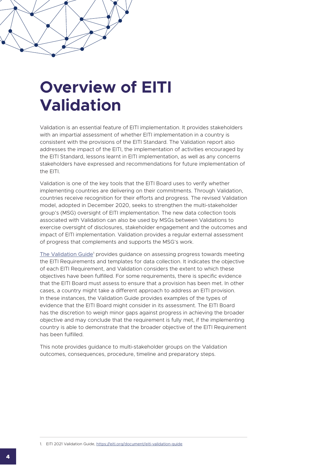### <span id="page-3-0"></span>**Overview of EITI Validation**

Validation is an essential feature of EITI implementation. It provides stakeholders with an impartial assessment of whether EITI implementation in a country is consistent with the provisions of the EITI Standard. The Validation report also addresses the impact of the EITI, the implementation of activities encouraged by the EITI Standard, lessons learnt in EITI implementation, as well as any concerns stakeholders have expressed and recommendations for future implementation of the FITI.

Validation is one of the key tools that the EITI Board uses to verify whether implementing countries are delivering on their commitments. Through Validation, countries receive recognition for their efforts and progress. The revised Validation model, adopted in December 2020, seeks to strengthen the multi-stakeholder group's (MSG) oversight of EITI implementation. The new data collection tools associated with Validation can also be used by MSGs between Validations to exercise oversight of disclosures, stakeholder engagement and the outcomes and impact of EITI implementation. Validation provides a regular external assessment of progress that complements and supports the MSG's work.

[The Validation Guide](https://eiti.org/document/eiti-validation-guide)<sup>1</sup> provides guidance on assessing progress towards meeting the EITI Requirements and templates for data collection. It indicates the objective of each EITI Requirement, and Validation considers the extent to which these objectives have been fulfilled. For some requirements, there is specific evidence that the EITI Board must assess to ensure that a provision has been met. In other cases, a country might take a different approach to address an EITI provision. In these instances, the Validation Guide provides examples of the types of evidence that the EITI Board might consider in its assessment. The EITI Board has the discretion to weigh minor gaps against progress in achieving the broader objective and may conclude that the requirement is fully met, if the implementing country is able to demonstrate that the broader objective of the EITI Requirement has been fulfilled.

This note provides guidance to multi-stakeholder groups on the Validation outcomes, consequences, procedure, timeline and preparatory steps.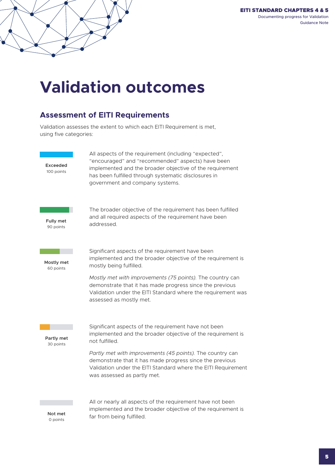#### EITI STANDARD CHAPTERS 4 & 5 Documenting progress for Validation Guidance Note

# <span id="page-4-0"></span>**Validation outcomes**

### **Assessment of EITI Requirements Low Fairly low Moderate High Very high**

Validation assesses the extent to which each EITI Requirement is met, using five categories: 0 - 49 50 - 69 70 - 84 85 - 92 93 - 100

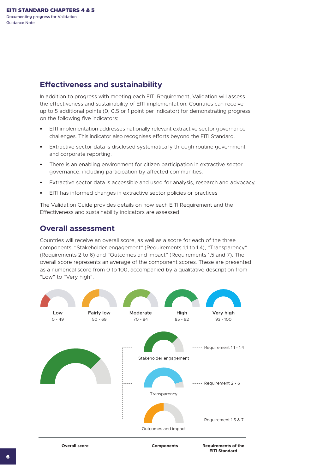#### **Effectiveness and sustainability**

In addition to progress with meeting each EITI Requirement, Validation will assess the effectiveness and sustainability of EITI implementation. Countries can receive up to 5 additional points (0, 0.5 or 1 point per indicator) for demonstrating progress on the following five indicators:

- **•** EITI implementation addresses nationally relevant extractive sector governance challenges. This indicator also recognises efforts beyond the EITI Standard.
- **•** Extractive sector data is disclosed systematically through routine government and corporate reporting.
- **•** There is an enabling environment for citizen participation in extractive sector governance, including participation by affected communities.
- **•** Extractive sector data is accessible and used for analysis, research and advocacy.
- **•** EITI has informed changes in extractive sector policies or practices

The Validation Guide provides details on how each EITI Requirement and the Effectiveness and sustainability indicators are assessed.

#### **Overall assessment**

Countries will receive an overall score, as well as a score for each of the three components: "Stakeholder engagement" (Requirements 1.1 to 1.4), "Transparency" (Requirements 2 to 6) and "Outcomes and impact" (Requirements 1.5 and 7). The overall score represents an average of the component scores. These are presented as a numerical score from 0 to 100, accompanied by a qualitative description from "Low" to "Very high".

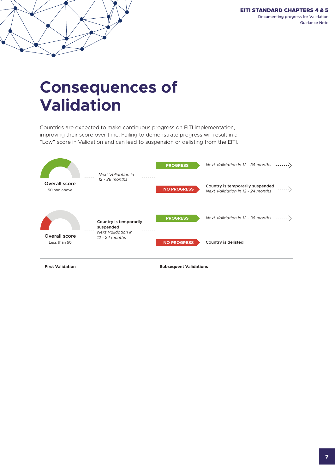#### EITI STANDARD CHAPTERS 4 & 5 Documenting progress for Validation Guidance Note

### <span id="page-6-0"></span>**Consequences of Validation**

Countries are expected to make continuous progress on EITI implementation, improving their score over time. Failing to demonstrate progress will result in a "Low" score in Validation and can lead to suspension or delisting from the EITI. **Consequences of Validation**



**First Validation**

**Subsequent Validations**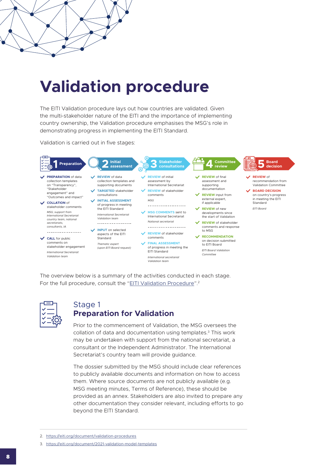# <span id="page-7-0"></span>**Validation procedure**

The EITI Validation procedure lays out how countries are validated. Given the multi-stakeholder nature of the EITI and the importance of implementing country ownership, the Validation procedure emphasises the MSG's role in demonstrating progress in implementing the EITI Standard.

Validation is carried out in five stages:



The overview below is a summary of the activities conducted in each stage. For the full procedure, consult the "[EITI Validation Procedure](https://eiti.org/document/eiti-validation-procedure)".<sup>2</sup>



#### Stage 1 **Preparation for Validation**

Prior to the commencement of Validation, the MSG oversees the collation of data and documentation using templates.3 This work may be undertaken with support from the national secretariat, a consultant or the Independent Administrator. The International Secretariat's country team will provide guidance.

The dossier submitted by the MSG should include clear references to publicly available documents and information on how to access them. Where source documents are not publicly available (e.g. MSG meeting minutes, Terms of Reference), these should be provided as an annex. Stakeholders are also invited to prepare any other documentation they consider relevant, including efforts to go beyond the EITI Standard.

<sup>2.</sup> <https://eiti.org/document/validation-procedures>

<sup>3.</sup> <https://eiti.org/document/2021-validation-model-templates>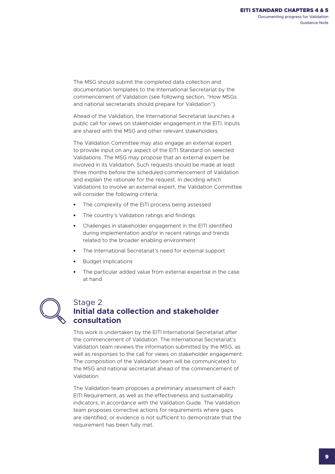The MSG should submit the completed data collection and documentation templates to the International Secretariat by the commencement of Validation (see following section, "How MSGs and national secretariats should prepare for Validation").

Ahead of the Validation, the International Secretariat launches a public call for views on stakeholder engagement in the EITI. Inputs are shared with the MSG and other relevant stakeholders.

The Validation Committee may also engage an external expert to provide input on any aspect of the EITI Standard on selected Validations. The MSG may propose that an external expert be involved in its Validation. Such requests should be made at least three months before the scheduled commencement of Validation and explain the rationale for the request. In deciding which Validations to involve an external expert, the Validation Committee will consider the following criteria:

- **•** The complexity of the EITI process being assessed
- **•** The country's Validation ratings and findings
- **•** Challenges in stakeholder engagement in the EITI identified during implementation and/or in recent ratings and trends related to the broader enabling environment
- **•** The International Secretariat's need for external support
- **•** Budget implications
- **•** The particular added value from external expertise in the case at hand



#### Stage 2 **Initial data collection and stakeholder consultation**

This work is undertaken by the EITI International Secretariat after the commencement of Validation. The International Secretariat's Validation team reviews the information submitted by the MSG, as well as responses to the call for views on stakeholder engagement. The composition of the Validation team will be communicated to the MSG and national secretariat ahead of the commencement of Validation.

The Validation team proposes a preliminary assessment of each EITI Requirement, as well as the effectiveness and sustainability indicators, in accordance with the Validation Guide. The Validation team proposes corrective actions for requirements where gaps are identified, or evidence is not sufficient to demonstrate that the requirement has been fully met.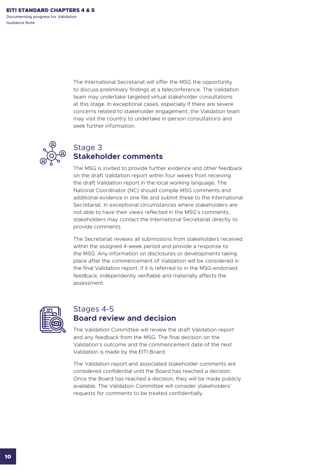Guidance Note

The International Secretariat will offer the MSG the opportunity to discuss preliminary findings at a teleconference. The Validation team may undertake targeted virtual stakeholder consultations at this stage. In exceptional cases, especially if there are severe concerns related to stakeholder engagement, the Validation team may visit the country to undertake in-person consultations and seek further information.



### Stage 3 **Stakeholder comments**

The MSG is invited to provide further evidence and other feedback on the draft Validation report within four weeks from receiving the draft Validation report in the local working language. The National Coordinator (NC) should compile MSG comments and additional evidence in one file and submit these to the International Secretariat. In exceptional circumstances where stakeholders are not able to have their views reflected in the MSG's comments, stakeholders may contact the International Secretariat directly to provide comments.

The Secretariat reviews all submissions from stakeholders received within the assigned 4-week period and provide a response to the MSG. Any information on disclosures or developments taking place after the commencement of Validation will be considered in the final Validation report, if it is referred to in the MSG-endorsed feedback, independently verifiable and materially affects the assessment.



#### Stages 4-5 **Board review and decision**

The Validation Committee will review the draft Validation report and any feedback from the MSG. The final decision on the Validation's outcome and the commencement date of the next Validation is made by the EITI Board.

The Validation report and associated stakeholder comments are considered confidential until the Board has reached a decision. Once the Board has reached a decision, they will be made publicly available. The Validation Committee will consider stakeholders' requests for comments to be treated confidentially.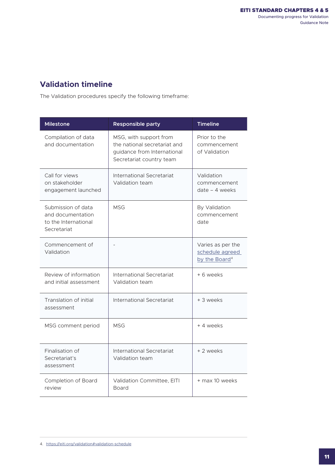### **Validation timeline**

The Validation procedures specify the following timeframe:

| <b>Milestone</b>                                                               | <b>Responsible party</b>                                                                                          | <b>Timeline</b>                                                   |
|--------------------------------------------------------------------------------|-------------------------------------------------------------------------------------------------------------------|-------------------------------------------------------------------|
| Compilation of data<br>and documentation                                       | MSG, with support from<br>the national secretariat and<br>guidance from International<br>Secretariat country team | Prior to the<br>commencement<br>of Validation                     |
| Call for views<br>on stakeholder<br>engagement launched                        | <b>International Secretariat</b><br>Validation team                                                               | Validation<br>commencement<br>$date - 4 weeks$                    |
| Submission of data<br>and documentation<br>to the International<br>Secretariat | <b>MSG</b>                                                                                                        | By Validation<br>commencement<br>date                             |
| Commencement of<br>Validation                                                  |                                                                                                                   | Varies as per the<br>schedule agreed<br>by the Board <sup>4</sup> |
| Review of information<br>and initial assessment                                | International Secretariat<br>Validation team                                                                      | + 6 weeks                                                         |
| Translation of initial<br>assessment                                           | International Secretariat                                                                                         | + 3 weeks                                                         |
| MSG comment period                                                             | <b>MSG</b>                                                                                                        | + 4 weeks                                                         |
| Finalisation of<br>Secretariat's<br>assessment                                 | International Secretariat<br>Validation team                                                                      | + 2 weeks                                                         |
| Completion of Board<br>review                                                  | Validation Committee, EITI<br><b>Board</b>                                                                        | + max 10 weeks                                                    |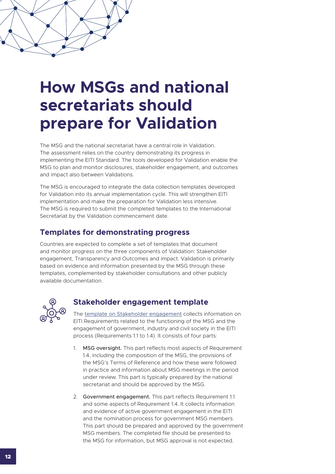# <span id="page-11-0"></span>**How MSGs and national secretariats should prepare for Validation**

The MSG and the national secretariat have a central role in Validation. The assessment relies on the country demonstrating its progress in implementing the EITI Standard. The tools developed for Validation enable the MSG to plan and monitor disclosures, stakeholder engagement, and outcomes and impact also between Validations.

The MSG is encouraged to integrate the data collection templates developed for Validation into its annual implementation cycle. This will strengthen EITI implementation and make the preparation for Validation less intensive. The MSG is required to submit the completed templates to the International Secretariat by the Validation commencement date.

#### **Templates for demonstrating progress**

Countries are expected to complete a set of templates that document and monitor progress on the three components of Validation: Stakeholder engagement, Transparency and Outcomes and impact. Validation is primarily based on evidence and information presented by the MSG through these templates, complemented by stakeholder consultations and other publicly available documentation.



#### **Stakeholder engagement template**

The [template on Stakeholder engagement](https://eiti.org/files/documents/stakeholder_engagement_template_en.docx) collects information on EITI Requirements related to the functioning of the MSG and the engagement of government, industry and civil society in the EITI process (Requirements 1.1 to 1.4). It consists of four parts:

- 1. MSG oversight. This part reflects most aspects of Requirement 1.4, including the composition of the MSG, the provisions of the MSG's Terms of Reference and how these were followed in practice and information about MSG meetings in the period under review. This part is typically prepared by the national secretariat and should be approved by the MSG.
- 2. Government engagement. This part reflects Requirement 1.1 and some aspects of Requirement 1.4. It collects information and evidence of active government engagement in the EITI and the nomination process for government MSG members. This part should be prepared and approved by the government MSG members. The completed file should be presented to the MSG for information, but MSG approval is not expected.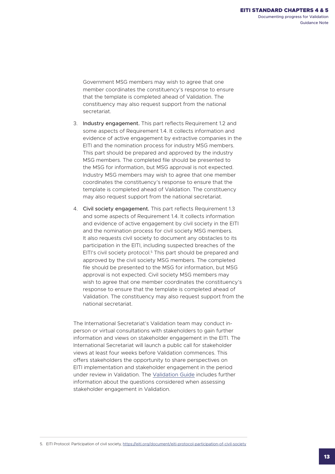Government MSG members may wish to agree that one member coordinates the constituency's response to ensure that the template is completed ahead of Validation. The constituency may also request support from the national secretariat.

- 3. Industry engagement. This part reflects Requirement 1.2 and some aspects of Requirement 1.4. It collects information and evidence of active engagement by extractive companies in the EITI and the nomination process for industry MSG members. This part should be prepared and approved by the industry MSG members. The completed file should be presented to the MSG for information, but MSG approval is not expected. Industry MSG members may wish to agree that one member coordinates the constituency's response to ensure that the template is completed ahead of Validation. The constituency may also request support from the national secretariat.
- 4. Civil society engagement. This part reflects Requirement 1.3 and some aspects of Requirement 1.4. It collects information and evidence of active engagement by civil society in the EITI and the nomination process for civil society MSG members. It also requests civil society to document any obstacles to its participation in the EITI, including suspected breaches of the EITI's civil society protocol.<sup>5</sup> This part should be prepared and approved by the civil society MSG members. The completed file should be presented to the MSG for information, but MSG approval is not expected. Civil society MSG members may wish to agree that one member coordinates the constituency's response to ensure that the template is completed ahead of Validation. The constituency may also request support from the national secretariat.

The International Secretariat's Validation team may conduct inperson or virtual consultations with stakeholders to gain further information and views on stakeholder engagement in the EITI. The International Secretariat will launch a public call for stakeholder views at least four weeks before Validation commences. This offers stakeholders the opportunity to share perspectives on EITI implementation and stakeholder engagement in the period under review in Validation. The [Validation Guide](https://eiti.org/document/eiti-validation-guide) includes further information about the questions considered when assessing stakeholder engagement in Validation.

5. EITI Protocol: Participation of civil society, <https://eiti.org/document/eiti-protocol-participation-of-civil-society>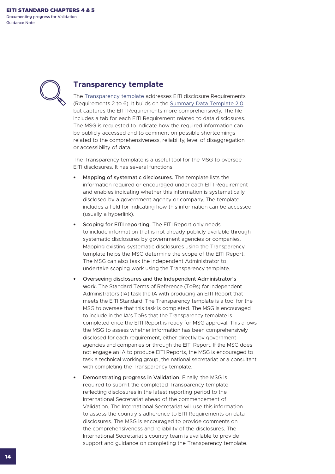<span id="page-13-0"></span>Documenting progress for Validation Guidance Note



#### **Transparency template**

The [Transparency template](https://eiti.org/files/documents/en_transparency_template_v.1.1.xlsx) addresses EITI disclosure Requirements (Requirements 2 to 6). It builds on the [Summary Data Template 2.0](https://eiti.org/document/eiti-summary-data-template) but captures the EITI Requirements more comprehensively. The file includes a tab for each EITI Requirement related to data disclosures. The MSG is requested to indicate how the required information can be publicly accessed and to comment on possible shortcomings related to the comprehensiveness, reliability, level of disaggregation or accessibility of data.

The Transparency template is a useful tool for the MSG to oversee EITI disclosures. It has several functions:

- **•** Mapping of systematic disclosures. The template lists the information required or encouraged under each EITI Requirement and enables indicating whether this information is systematically disclosed by a government agency or company. The template includes a field for indicating how this information can be accessed (usually a hyperlink).
- **•** Scoping for EITI reporting. The EITI Report only needs to include information that is not already publicly available through systematic disclosures by government agencies or companies. Mapping existing systematic disclosures using the Transparency template helps the MSG determine the scope of the EITI Report. The MSG can also task the Independent Administrator to undertake scoping work using the Transparency template.
- **•** Overseeing disclosures and the Independent Administrator's work. The Standard Terms of Reference (ToRs) for Independent Administrators (IA) task the IA with producing an EITI Report that meets the EITI Standard. The Transparency template is a tool for the MSG to oversee that this task is completed. The MSG is encouraged to include in the IA's ToRs that the Transparency template is completed once the EITI Report is ready for MSG approval. This allows the MSG to assess whether information has been comprehensively disclosed for each requirement, either directly by government agencies and companies or through the EITI Report. If the MSG does not engage an IA to produce EITI Reports, the MSG is encouraged to task a technical working group, the national secretariat or a consultant with completing the Transparency template.
- **•** Demonstrating progress in Validation. Finally, the MSG is required to submit the completed Transparency template reflecting disclosures in the latest reporting period to the International Secretariat ahead of the commencement of Validation. The International Secretariat will use this information to assess the country's adherence to EITI Requirements on data disclosures. The MSG is encouraged to provide comments on the comprehensiveness and reliability of the disclosures. The International Secretariat's country team is available to provide support and guidance on completing the Transparency template.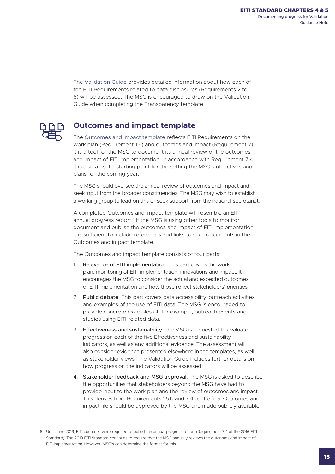<span id="page-14-0"></span>The [Validation Guide](https://eiti.org/document/eiti-validation-guide) provides detailed information about how each of the EITI Requirements related to data disclosures (Requirements 2 to 6) will be assessed. The MSG is encouraged to draw on the Validation Guide when completing the Transparency template.



#### **Outcomes and impact template**

The [Outcomes and impact template](https://eiti.org/files/documents/outcomes_and_impact_template_en.docx) reflects EITI Requirements on the work plan (Requirement 1.5) and outcomes and impact (Requirement 7). It is a tool for the MSG to document its annual review of the outcomes and impact of EITI implementation, in accordance with Requirement 7.4. It is also a useful starting point for the setting the MSG's objectives and plans for the coming year.

The MSG should oversee the annual review of outcomes and impact and seek input from the broader constituencies. The MSG may wish to establish a working group to lead on this or seek support from the national secretariat.

A completed Outcomes and impact template will resemble an EITI annual progress report.<sup>6</sup> If the MSG is using other tools to monitor, document and publish the outcomes and impact of EITI implementation, it is sufficient to include references and links to such documents in the Outcomes and impact template.

The Outcomes and impact template consists of four parts:

- 1. Relevance of EITI implementation. This part covers the work plan, monitoring of EITI implementation, innovations and impact. It encourages the MSG to consider the actual and expected outcomes of EITI implementation and how those reflect stakeholders' priorities.
- 2. Public debate. This part covers data accessibility, outreach activities and examples of the use of EITI data. The MSG is encouraged to provide concrete examples of, for example, outreach events and studies using EITI-related data.
- 3. Effectiveness and sustainability. The MSG is requested to evaluate progress on each of the five Effectiveness and sustainability indicators, as well as any additional evidence. The assessment will also consider evidence presented elsewhere in the templates, as well as stakeholder views. The Validation Guide includes further details on how progress on the indicators will be assessed.
- 4. Stakeholder feedback and MSG approval. The MSG is asked to describe the opportunities that stakeholders beyond the MSG have had to provide input to the work plan and the review of outcomes and impact. This derives from Requirements 1.5.b and 7.4.b. The final Outcomes and impact file should be approved by the MSG and made publicly available.

<sup>6.</sup> Until June 2019, EITI countries were required to publish an annual progress report (Requirement 7.4 of the 2016 EITI Standard). The 2019 EITI Standard continues to require that the MSG annually reviews the outcomes and impact of EITI implementation. However, MSG's can determine the format for this.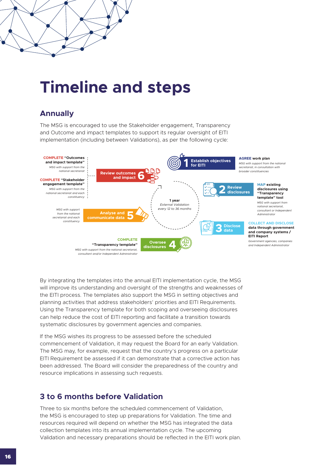# **Timeline and steps**

#### **Annually**

The MSG is encouraged to use the Stakeholder engagement, Transparency and Outcome and impact templates to support its regular oversight of EITI implementation (including between Validations), as per the following cycle: Maximising and evaluating impact of EITI disclosures



By integrating the templates into the annual EITI implementation cycle, the MSG will improve its understanding and oversight of the strengths and weaknesses of the EITI process. The templates also support the MSG in setting objectives and planning activities that address stakeholders' priorities and EITI Requirements. Using the Transparency template for both scoping and overseeing disclosures can help reduce the cost of EITI reporting and facilitate a transition towards systematic disclosures by government agencies and companies.

If the MSG wishes its progress to be assessed before the scheduled commencement of Validation, it may request the Board for an early Validation. The MSG may, for example, request that the country's progress on a particular EITI Requirement be assessed if it can demonstrate that a corrective action has been addressed. The Board will consider the preparedness of the country and resource implications in assessing such requests.

#### **3 to 6 months before Validation**

Three to six months before the scheduled commencement of Validation, the MSG is encouraged to step up preparations for Validation. The time and resources required will depend on whether the MSG has integrated the data collection templates into its annual implementation cycle. The upcoming Validation and necessary preparations should be reflected in the EITI work plan.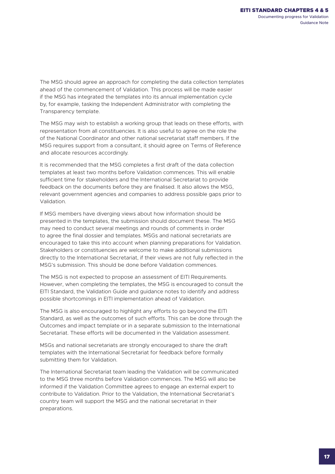The MSG should agree an approach for completing the data collection templates ahead of the commencement of Validation. This process will be made easier if the MSG has integrated the templates into its annual implementation cycle by, for example, tasking the Independent Administrator with completing the Transparency template.

The MSG may wish to establish a working group that leads on these efforts, with representation from all constituencies. It is also useful to agree on the role the of the National Coordinator and other national secretariat staff members. If the MSG requires support from a consultant, it should agree on Terms of Reference and allocate resources accordingly.

It is recommended that the MSG completes a first draft of the data collection templates at least two months before Validation commences. This will enable sufficient time for stakeholders and the International Secretariat to provide feedback on the documents before they are finalised. It also allows the MSG, relevant government agencies and companies to address possible gaps prior to Validation.

If MSG members have diverging views about how information should be presented in the templates, the submission should document these. The MSG may need to conduct several meetings and rounds of comments in order to agree the final dossier and templates. MSGs and national secretariats are encouraged to take this into account when planning preparations for Validation. Stakeholders or constituencies are welcome to make additional submissions directly to the International Secretariat, if their views are not fully reflected in the MSG's submission. This should be done before Validation commences.

The MSG is not expected to propose an assessment of EITI Requirements. However, when completing the templates, the MSG is encouraged to consult the EITI Standard, the Validation Guide and guidance notes to identify and address possible shortcomings in EITI implementation ahead of Validation.

The MSG is also encouraged to highlight any efforts to go beyond the EITI Standard, as well as the outcomes of such efforts. This can be done through the Outcomes and impact template or in a separate submission to the International Secretariat. These efforts will be documented in the Validation assessment.

MSGs and national secretariats are strongly encouraged to share the draft templates with the International Secretariat for feedback before formally submitting them for Validation.

The International Secretariat team leading the Validation will be communicated to the MSG three months before Validation commences. The MSG will also be informed if the Validation Committee agrees to engage an external expert to contribute to Validation. Prior to the Validation, the International Secretariat's country team will support the MSG and the national secretariat in their preparations.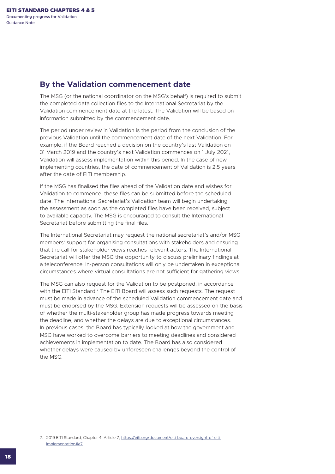#### **By the Validation commencement date**

The MSG (or the national coordinator on the MSG's behalf) is required to submit the completed data collection files to the International Secretariat by the Validation commencement date at the latest. The Validation will be based on information submitted by the commencement date.

The period under review in Validation is the period from the conclusion of the previous Validation until the commencement date of the next Validation. For example, if the Board reached a decision on the country's last Validation on 31 March 2019 and the country's next Validation commences on 1 July 2021, Validation will assess implementation within this period. In the case of new implementing countries, the date of commencement of Validation is 2.5 years after the date of EITI membership.

If the MSG has finalised the files ahead of the Validation date and wishes for Validation to commence, these files can be submitted before the scheduled date. The International Secretariat's Validation team will begin undertaking the assessment as soon as the completed files have been received, subject to available capacity. The MSG is encouraged to consult the International Secretariat before submitting the final files.

The International Secretariat may request the national secretariat's and/or MSG members' support for organising consultations with stakeholders and ensuring that the call for stakeholder views reaches relevant actors. The International Secretariat will offer the MSG the opportunity to discuss preliminary findings at a teleconference. In-person consultations will only be undertaken in exceptional circumstances where virtual consultations are not sufficient for gathering views.

The MSG can also request for the Validation to be postponed, in accordance with the EITI Standard.<sup>7</sup> The EITI Board will assess such requests. The request must be made in advance of the scheduled Validation commencement date and must be endorsed by the MSG. Extension requests will be assessed on the basis of whether the multi-stakeholder group has made progress towards meeting the deadline, and whether the delays are due to exceptional circumstances. In previous cases, the Board has typically looked at how the government and MSG have worked to overcome barriers to meeting deadlines and considered achievements in implementation to date. The Board has also considered whether delays were caused by unforeseen challenges beyond the control of the MSG.

<sup>7.</sup> 2019 EITI Standard, Chapter 4, Article 7, [https://eiti.org/document/eiti-board-oversight-of-eiti](https://eiti.org/document/eiti-board-oversight-of-eiti-implementation#a7)[implementation#a7](https://eiti.org/document/eiti-board-oversight-of-eiti-implementation#a7)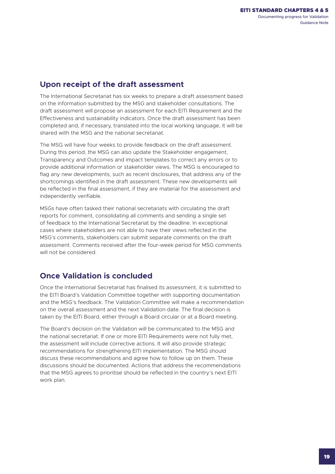#### **Upon receipt of the draft assessment**

The International Secretariat has six weeks to prepare a draft assessment based on the information submitted by the MSG and stakeholder consultations. The draft assessment will propose an assessment for each EITI Requirement and the Effectiveness and sustainability indicators. Once the draft assessment has been completed and, if necessary, translated into the local working language, it will be shared with the MSG and the national secretariat.

The MSG will have four weeks to provide feedback on the draft assessment. During this period, the MSG can also update the Stakeholder engagement, Transparency and Outcomes and impact templates to correct any errors or to provide additional information or stakeholder views. The MSG is encouraged to flag any new developments, such as recent disclosures, that address any of the shortcomings identified in the draft assessment. These new developments will be reflected in the final assessment, if they are material for the assessment and independently verifiable.

MSGs have often tasked their national secretariats with circulating the draft reports for comment, consolidating all comments and sending a single set of feedback to the International Secretariat by the deadline. In exceptional cases where stakeholders are not able to have their views reflected in the MSG's comments, stakeholders can submit separate comments on the draft assessment. Comments received after the four-week period for MSG comments will not be considered.

### **Once Validation is concluded**

Once the International Secretariat has finalised its assessment, it is submitted to the EITI Board's Validation Committee together with supporting documentation and the MSG's feedback. The Validation Committee will make a recommendation on the overall assessment and the next Validation date. The final decision is taken by the EITI Board, either through a Board circular or at a Board meeting.

The Board's decision on the Validation will be communicated to the MSG and the national secretariat. If one or more EITI Requirements were not fully met, the assessment will include corrective actions. It will also provide strategic recommendations for strengthening EITI implementation. The MSG should discuss these recommendations and agree how to follow up on them. These discussions should be documented. Actions that address the recommendations that the MSG agrees to prioritise should be reflected in the country's next EITI work plan.